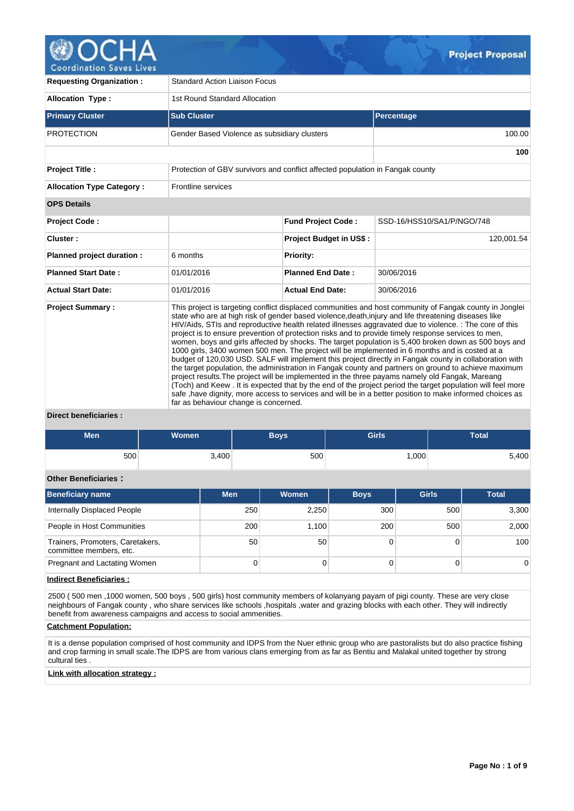

| <b>Requesting Organization:</b>  | <b>Standard Action Liaison Focus</b>                                          |                                |                                                                                                                                                                                                                                                                                                                                                                                                                                                                                                                                                                                                                                                                                                                                                                                                                                                                                                                                                                                                                                                                                                                                                                                               |  |  |  |  |  |  |
|----------------------------------|-------------------------------------------------------------------------------|--------------------------------|-----------------------------------------------------------------------------------------------------------------------------------------------------------------------------------------------------------------------------------------------------------------------------------------------------------------------------------------------------------------------------------------------------------------------------------------------------------------------------------------------------------------------------------------------------------------------------------------------------------------------------------------------------------------------------------------------------------------------------------------------------------------------------------------------------------------------------------------------------------------------------------------------------------------------------------------------------------------------------------------------------------------------------------------------------------------------------------------------------------------------------------------------------------------------------------------------|--|--|--|--|--|--|
| <b>Allocation Type:</b>          | 1st Round Standard Allocation                                                 |                                |                                                                                                                                                                                                                                                                                                                                                                                                                                                                                                                                                                                                                                                                                                                                                                                                                                                                                                                                                                                                                                                                                                                                                                                               |  |  |  |  |  |  |
| <b>Primary Cluster</b>           | <b>Sub Cluster</b>                                                            |                                | Percentage                                                                                                                                                                                                                                                                                                                                                                                                                                                                                                                                                                                                                                                                                                                                                                                                                                                                                                                                                                                                                                                                                                                                                                                    |  |  |  |  |  |  |
| <b>PROTECTION</b>                | Gender Based Violence as subsidiary clusters                                  |                                | 100.00                                                                                                                                                                                                                                                                                                                                                                                                                                                                                                                                                                                                                                                                                                                                                                                                                                                                                                                                                                                                                                                                                                                                                                                        |  |  |  |  |  |  |
|                                  |                                                                               |                                | 100                                                                                                                                                                                                                                                                                                                                                                                                                                                                                                                                                                                                                                                                                                                                                                                                                                                                                                                                                                                                                                                                                                                                                                                           |  |  |  |  |  |  |
| <b>Project Title:</b>            | Protection of GBV survivors and conflict affected population in Fangak county |                                |                                                                                                                                                                                                                                                                                                                                                                                                                                                                                                                                                                                                                                                                                                                                                                                                                                                                                                                                                                                                                                                                                                                                                                                               |  |  |  |  |  |  |
| <b>Allocation Type Category:</b> | Frontline services                                                            |                                |                                                                                                                                                                                                                                                                                                                                                                                                                                                                                                                                                                                                                                                                                                                                                                                                                                                                                                                                                                                                                                                                                                                                                                                               |  |  |  |  |  |  |
| <b>OPS Details</b>               |                                                                               |                                |                                                                                                                                                                                                                                                                                                                                                                                                                                                                                                                                                                                                                                                                                                                                                                                                                                                                                                                                                                                                                                                                                                                                                                                               |  |  |  |  |  |  |
| <b>Project Code:</b>             |                                                                               | <b>Fund Project Code:</b>      | SSD-16/HSS10/SA1/P/NGO/748                                                                                                                                                                                                                                                                                                                                                                                                                                                                                                                                                                                                                                                                                                                                                                                                                                                                                                                                                                                                                                                                                                                                                                    |  |  |  |  |  |  |
| Cluster:                         |                                                                               | <b>Project Budget in US\$:</b> | 120.001.54                                                                                                                                                                                                                                                                                                                                                                                                                                                                                                                                                                                                                                                                                                                                                                                                                                                                                                                                                                                                                                                                                                                                                                                    |  |  |  |  |  |  |
| Planned project duration :       | 6 months                                                                      | Priority:                      |                                                                                                                                                                                                                                                                                                                                                                                                                                                                                                                                                                                                                                                                                                                                                                                                                                                                                                                                                                                                                                                                                                                                                                                               |  |  |  |  |  |  |
| <b>Planned Start Date:</b>       | 01/01/2016                                                                    | <b>Planned End Date:</b>       | 30/06/2016                                                                                                                                                                                                                                                                                                                                                                                                                                                                                                                                                                                                                                                                                                                                                                                                                                                                                                                                                                                                                                                                                                                                                                                    |  |  |  |  |  |  |
| <b>Actual Start Date:</b>        | 01/01/2016                                                                    | <b>Actual End Date:</b>        | 30/06/2016                                                                                                                                                                                                                                                                                                                                                                                                                                                                                                                                                                                                                                                                                                                                                                                                                                                                                                                                                                                                                                                                                                                                                                                    |  |  |  |  |  |  |
| <b>Project Summary:</b><br>.     | far as behaviour change is concerned.                                         |                                | This project is targeting conflict displaced communities and host community of Fangak county in Jonglei<br>state who are at high risk of gender based violence, death, injury and life threatening diseases like<br>HIV/Aids, STIs and reproductive health related illnesses aggravated due to violence. : The core of this<br>project is to ensure prevention of protection risks and to provide timely response services to men,<br>women, boys and girls affected by shocks. The target population is 5,400 broken down as 500 boys and<br>1000 girls, 3400 women 500 men. The project will be implemented in 6 months and is costed at a<br>budget of 120,030 USD. SALF will implement this project directly in Fangak county in collaboration with<br>the target population, the administration in Fangak county and partners on ground to achieve maximum<br>project results. The project will be implemented in the three payams namely old Fangak, Mareang<br>(Toch) and Keew. It is expected that by the end of the project period the target population will feel more<br>safe , have dignity, more access to services and will be in a better position to make informed choices as |  |  |  |  |  |  |

#### **Direct beneficiaries :**

| <b>Men</b> | <b>Women</b> | <b>Boys</b> | <b>Girls</b> | <b>Total</b> |
|------------|--------------|-------------|--------------|--------------|
| 500        | 3,400        | 500         | ,000         | 5,400        |

### **Other Beneficiaries :**

| <b>Beneficiary name</b>                                     | <b>Men</b> | Women | <b>Boys</b> | <b>Girls</b> | <b>Total</b> |
|-------------------------------------------------------------|------------|-------|-------------|--------------|--------------|
| Internally Displaced People                                 | 250        | 2,250 | 300         | 500          | 3,300        |
| People in Host Communities                                  | 200        | 1.100 | 200         | 500          | 2,000        |
| Trainers, Promoters, Caretakers,<br>committee members, etc. | 50         | 50    |             |              | 100          |
| Pregnant and Lactating Women                                | 0          |       |             |              | $\Omega$     |

### **Indirect Beneficiaries :**

2500 ( 500 men ,1000 women, 500 boys , 500 girls) host community members of kolanyang payam of pigi county. These are very close neighbours of Fangak county , who share services like schools ,hospitals ,water and grazing blocks with each other. They will indirectly benefit from awareness campaigns and access to social ammenities.

### **Catchment Population:**

It is a dense population comprised of host community and IDPS from the Nuer ethnic group who are pastoralists but do also practice fishing and crop farming in small scale. The IDPS are from various clans emerging from as far as Bentiu and Malakal united together by strong cultural ties.

### **Link with allocation strategy :**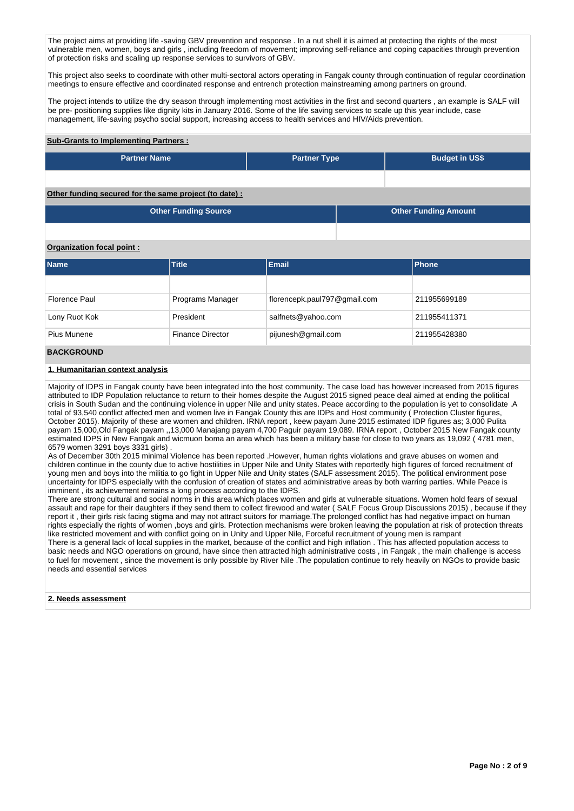The project aims at providing life -saving GBV prevention and response . In a nut shell it is aimed at protecting the rights of the most vulnerable men, women, boys and girls , including freedom of movement; improving self-reliance and coping capacities through prevention of protection risks and scaling up response services to survivors of GBV.

This project also seeks to coordinate with other multi-sectoral actors operating in Fangak county through continuation of regular coordination meetings to ensure effective and coordinated response and entrench protection mainstreaming among partners on ground.

The project intends to utilize the dry season through implementing most activities in the first and second quarters , an example is SALF will be pre- positioning supplies like dignity kits in January 2016. Some of the life saving services to scale up this year include, case management, life-saving psycho social support, increasing access to health services and HIV/Aids prevention.

### **Sub-Grants to Implementing Partners :**

| <b>Partner Name</b> | <b>Partner Type</b> | <b>Budget in US\$</b> |
|---------------------|---------------------|-----------------------|
|                     |                     |                       |

### **Other funding secured for the same project (to date) :**

| <b>Other Funding Source</b> | <b>Other Funding Amount</b> |
|-----------------------------|-----------------------------|
|                             |                             |

#### **Organization focal point :**

| <b>Name</b>       | <b>Title</b>            | <b>Email</b>                 | <b>IPhone</b> |
|-------------------|-------------------------|------------------------------|---------------|
|                   |                         |                              |               |
| Florence Paul     | Programs Manager        | florencepk.paul797@gmail.com | 211955699189  |
| Lony Ruot Kok     | President               | salfnets@yahoo.com           | 211955411371  |
| Pius Munene       | <b>Finance Director</b> | pijunesh@gmail.com           | 211955428380  |
| <b>BACKGROUND</b> |                         |                              |               |

# **1. Humanitarian context analysis**

Majority of IDPS in Fangak county have been integrated into the host community. The case load has however increased from 2015 figures attributed to IDP Population reluctance to return to their homes despite the August 2015 signed peace deal aimed at ending the political crisis in South Sudan and the continuing violence in upper Nile and unity states. Peace according to the population is yet to consolidate .A total of 93,540 conflict affected men and women live in Fangak County this are IDPs and Host community ( Protection Cluster figures, October 2015). Majority of these are women and children. IRNA report , keew payam June 2015 estimated IDP figures as; 3,000 Pulita payam 15,000,Old Fangak payam ,,13,000 Manajang payam 4,700 Paguir payam 19,089. IRNA report , October 2015 New Fangak county estimated IDPS in New Fangak and wicmuon boma an area which has been a military base for close to two years as 19,092 ( 4781 men, 6579 women 3291 boys 3331 girls) .

As of December 30th 2015 minimal Violence has been reported .However, human rights violations and grave abuses on women and children continue in the county due to active hostilities in Upper Nile and Unity States with reportedly high figures of forced recruitment of young men and boys into the militia to go fight in Upper Nile and Unity states (SALF assessment 2015). The political environment pose uncertainty for IDPS especially with the confusion of creation of states and administrative areas by both warring parties. While Peace is imminent , its achievement remains a long process according to the IDPS.

There are strong cultural and social norms in this area which places women and girls at vulnerable situations. Women hold fears of sexual assault and rape for their daughters if they send them to collect firewood and water ( SALF Focus Group Discussions 2015) , because if they report it , their girls risk facing stigma and may not attract suitors for marriage.The prolonged conflict has had negative impact on human rights especially the rights of women ,boys and girls. Protection mechanisms were broken leaving the population at risk of protection threats like restricted movement and with conflict going on in Unity and Upper Nile, Forceful recruitment of young men is rampant There is a general lack of local supplies in the market, because of the conflict and high inflation . This has affected population access to basic needs and NGO operations on ground, have since then attracted high administrative costs , in Fangak , the main challenge is access to fuel for movement , since the movement is only possible by River Nile .The population continue to rely heavily on NGOs to provide basic

#### **2. Needs assessment**

needs and essential services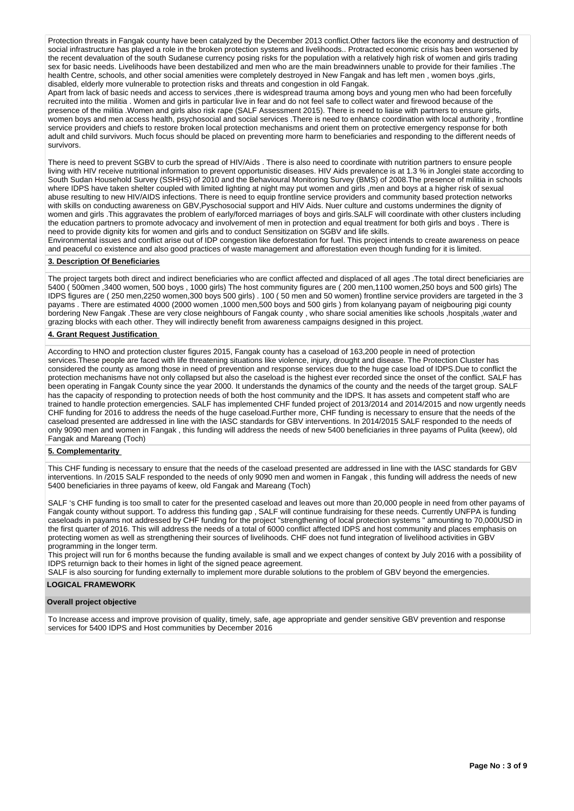Protection threats in Fangak county have been catalyzed by the December 2013 conflict.Other factors like the economy and destruction of social infrastructure has played a role in the broken protection systems and livelihoods.. Protracted economic crisis has been worsened by the recent devaluation of the south Sudanese currency posing risks for the population with a relatively high risk of women and girls trading sex for basic needs. Livelihoods have been destabilized and men who are the main breadwinners unable to provide for their families .The health Centre, schools, and other social amenities were completely destroyed in New Fangak and has left men , women boys ,girls, disabled, elderly more vulnerable to protection risks and threats and congestion in old Fangak.

Apart from lack of basic needs and access to services ,there is widespread trauma among boys and young men who had been forcefully recruited into the militia . Women and girls in particular live in fear and do not feel safe to collect water and firewood because of the presence of the militia .Women and girls also risk rape (SALF Assessment 2015). There is need to liaise with partners to ensure girls, women boys and men access health, psychosocial and social services .There is need to enhance coordination with local authority , frontline service providers and chiefs to restore broken local protection mechanisms and orient them on protective emergency response for both adult and child survivors. Much focus should be placed on preventing more harm to beneficiaries and responding to the different needs of survivors.

There is need to prevent SGBV to curb the spread of HIV/Aids . There is also need to coordinate with nutrition partners to ensure people living with HIV receive nutritional information to prevent opportunistic diseases. HIV Aids prevalence is at 1.3 % in Jonglei state according to South Sudan Household Survey (SSHHS) of 2010 and the Behavioural Monitoring Survey (BMS) of 2008.The presence of militia in schools where IDPS have taken shelter coupled with limited lighting at night may put women and girls ,men and boys at a higher risk of sexual abuse resulting to new HIV/AIDS infections. There is need to equip frontline service providers and community based protection networks with skills on conducting awareness on GBV,Pyschosocial support and HIV Aids. Nuer culture and customs undermines the dignity of women and girls .This aggravates the problem of early/forced marriages of boys and girls.SALF will coordinate with other clusters including the education partners to promote advocacy and involvement of men in protection and equal treatment for both girls and boys . There is need to provide dignity kits for women and girls and to conduct Sensitization on SGBV and life skills.

Environmental issues and conflict arise out of IDP congestion like deforestation for fuel. This project intends to create awareness on peace and peaceful co existence and also good practices of waste management and afforestation even though funding for it is limited.

#### **3. Description Of Beneficiaries**

The project targets both direct and indirect beneficiaries who are conflict affected and displaced of all ages .The total direct beneficiaries are 5400 ( 500men ,3400 women, 500 boys , 1000 girls) The host community figures are ( 200 men,1100 women,250 boys and 500 girls) The IDPS figures are ( 250 men,2250 women,300 boys 500 girls) . 100 ( 50 men and 50 women) frontline service providers are targeted in the 3 payams . There are estimated 4000 (2000 women ,1000 men,500 boys and 500 girls ) from kolanyang payam of neigbouring pigi county bordering New Fangak .These are very close neighbours of Fangak county , who share social amenities like schools ,hospitals ,water and grazing blocks with each other. They will indirectly benefit from awareness campaigns designed in this project.

#### **4. Grant Request Justification**

According to HNO and protection cluster figures 2015, Fangak county has a caseload of 163,200 people in need of protection services.These people are faced with life threatening situations like violence, injury, drought and disease. The Protection Cluster has considered the county as among those in need of prevention and response services due to the huge case load of IDPS.Due to conflict the protection mechanisms have not only collapsed but also the caseload is the highest ever recorded since the onset of the conflict. SALF has been operating in Fangak County since the year 2000. It understands the dynamics of the county and the needs of the target group. SALF has the capacity of responding to protection needs of both the host community and the IDPS. It has assets and competent staff who are trained to handle protection emergencies. SALF has implemented CHF funded project of 2013/2014 and 2014/2015 and now urgently needs CHF funding for 2016 to address the needs of the huge caseload.Further more, CHF funding is necessary to ensure that the needs of the caseload presented are addressed in line with the IASC standards for GBV interventions. In 2014/2015 SALF responded to the needs of only 9090 men and women in Fangak , this funding will address the needs of new 5400 beneficiaries in three payams of Pulita (keew), old Fangak and Mareang (Toch)

#### **5. Complementarity**

This CHF funding is necessary to ensure that the needs of the caseload presented are addressed in line with the IASC standards for GBV interventions. In /2015 SALF responded to the needs of only 9090 men and women in Fangak , this funding will address the needs of new 5400 beneficiaries in three payams of keew, old Fangak and Mareang (Toch)

SALF 's CHF funding is too small to cater for the presented caseload and leaves out more than 20,000 people in need from other payams of Fangak county without support. To address this funding gap , SALF will continue fundraising for these needs. Currently UNFPA is funding caseloads in payams not addressed by CHF funding for the project "strengthening of local protection systems " amounting to 70,000USD in the first quarter of 2016. This will address the needs of a total of 6000 conflict affected IDPS and host community and places emphasis on protecting women as well as strengthening their sources of livelihoods. CHF does not fund integration of livelihood activities in GBV programming in the longer term.

This project will run for 6 months because the funding available is small and we expect changes of context by July 2016 with a possibility of IDPS returnign back to their homes in light of the signed peace agreement.

SALF is also sourcing for funding externally to implement more durable solutions to the problem of GBV beyond the emergencies.

# **LOGICAL FRAMEWORK**

#### **Overall project objective**

To Increase access and improve provision of quality, timely, safe, age appropriate and gender sensitive GBV prevention and response services for 5400 IDPS and Host communities by December 2016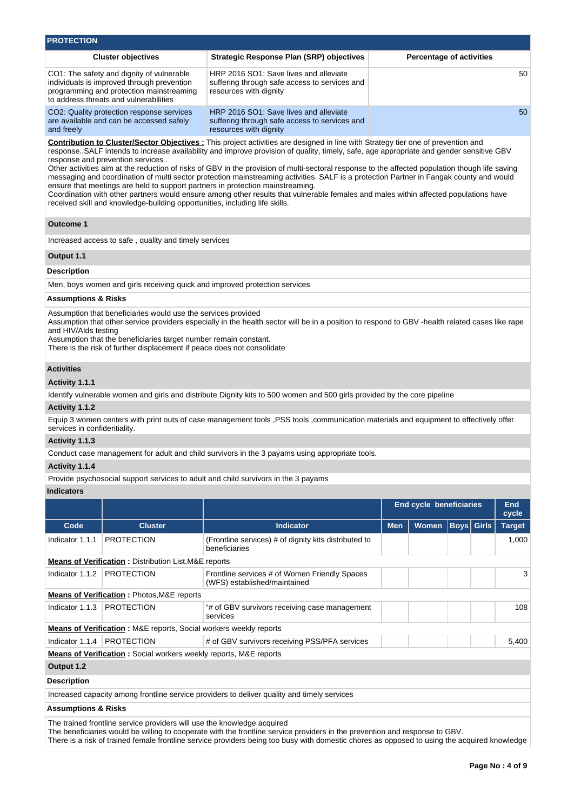| <b>PROTECTION</b>                                                                                                                                                                                                                                                                                                                                                                                                                                                                                                                                                                                                                                                                                                                                                                                                                                                                                                               |                                                                                                                                                                                                              |                                                                                                                                                 |            |                                 |                   |  |                     |  |  |  |  |
|---------------------------------------------------------------------------------------------------------------------------------------------------------------------------------------------------------------------------------------------------------------------------------------------------------------------------------------------------------------------------------------------------------------------------------------------------------------------------------------------------------------------------------------------------------------------------------------------------------------------------------------------------------------------------------------------------------------------------------------------------------------------------------------------------------------------------------------------------------------------------------------------------------------------------------|--------------------------------------------------------------------------------------------------------------------------------------------------------------------------------------------------------------|-------------------------------------------------------------------------------------------------------------------------------------------------|------------|---------------------------------|-------------------|--|---------------------|--|--|--|--|
|                                                                                                                                                                                                                                                                                                                                                                                                                                                                                                                                                                                                                                                                                                                                                                                                                                                                                                                                 | <b>Cluster objectives</b>                                                                                                                                                                                    | <b>Strategic Response Plan (SRP) objectives</b>                                                                                                 |            | <b>Percentage of activities</b> |                   |  |                     |  |  |  |  |
|                                                                                                                                                                                                                                                                                                                                                                                                                                                                                                                                                                                                                                                                                                                                                                                                                                                                                                                                 | CO1: The safety and dignity of vulnerable<br>individuals is improved through prevention<br>programming and protection mainstreaming<br>to address threats and vulnerabilities                                | HRP 2016 SO1: Save lives and alleviate<br>suffering through safe access to services and<br>resources with dignity                               |            | 50                              |                   |  |                     |  |  |  |  |
| and freely                                                                                                                                                                                                                                                                                                                                                                                                                                                                                                                                                                                                                                                                                                                                                                                                                                                                                                                      | CO2: Quality protection response services<br>are available and can be accessed safely                                                                                                                        | HRP 2016 SO1: Save lives and alleviate<br>suffering through safe access to services and<br>resources with dignity                               | 50         |                                 |                   |  |                     |  |  |  |  |
| <b>Contribution to Cluster/Sector Objectives:</b> This project activities are designed in line with Strategy tier one of prevention and<br>response. SALF intends to increase availability and improve provision of quality, timely, safe, age appropriate and gender sensitive GBV<br>response and prevention services.<br>Other activities aim at the reduction of risks of GBV in the provision of multi-sectoral response to the affected population though life saving<br>messaging and coordination of multi sector protection mainstreaming activities. SALF is a protection Partner in Fangak county and would<br>ensure that meetings are held to support partners in protection mainstreaming.<br>Coordination with other partners would ensure among other results that vulnerable females and males within affected populations have<br>received skill and knowledge-building opportunities, including life skills. |                                                                                                                                                                                                              |                                                                                                                                                 |            |                                 |                   |  |                     |  |  |  |  |
| <b>Outcome 1</b>                                                                                                                                                                                                                                                                                                                                                                                                                                                                                                                                                                                                                                                                                                                                                                                                                                                                                                                |                                                                                                                                                                                                              |                                                                                                                                                 |            |                                 |                   |  |                     |  |  |  |  |
|                                                                                                                                                                                                                                                                                                                                                                                                                                                                                                                                                                                                                                                                                                                                                                                                                                                                                                                                 | Increased access to safe, quality and timely services                                                                                                                                                        |                                                                                                                                                 |            |                                 |                   |  |                     |  |  |  |  |
| Output 1.1                                                                                                                                                                                                                                                                                                                                                                                                                                                                                                                                                                                                                                                                                                                                                                                                                                                                                                                      |                                                                                                                                                                                                              |                                                                                                                                                 |            |                                 |                   |  |                     |  |  |  |  |
| <b>Description</b>                                                                                                                                                                                                                                                                                                                                                                                                                                                                                                                                                                                                                                                                                                                                                                                                                                                                                                              |                                                                                                                                                                                                              |                                                                                                                                                 |            |                                 |                   |  |                     |  |  |  |  |
|                                                                                                                                                                                                                                                                                                                                                                                                                                                                                                                                                                                                                                                                                                                                                                                                                                                                                                                                 |                                                                                                                                                                                                              | Men, boys women and girls receiving quick and improved protection services                                                                      |            |                                 |                   |  |                     |  |  |  |  |
| <b>Assumptions &amp; Risks</b>                                                                                                                                                                                                                                                                                                                                                                                                                                                                                                                                                                                                                                                                                                                                                                                                                                                                                                  |                                                                                                                                                                                                              |                                                                                                                                                 |            |                                 |                   |  |                     |  |  |  |  |
| and HIV/Alds testing                                                                                                                                                                                                                                                                                                                                                                                                                                                                                                                                                                                                                                                                                                                                                                                                                                                                                                            | Assumption that beneficiaries would use the services provided<br>Assumption that the beneficiaries target number remain constant.<br>There is the risk of further displacement if peace does not consolidate | Assumption that other service providers especially in the health sector will be in a position to respond to GBV -health related cases like rape |            |                                 |                   |  |                     |  |  |  |  |
| <b>Activities</b><br>Activity 1.1.1                                                                                                                                                                                                                                                                                                                                                                                                                                                                                                                                                                                                                                                                                                                                                                                                                                                                                             |                                                                                                                                                                                                              |                                                                                                                                                 |            |                                 |                   |  |                     |  |  |  |  |
|                                                                                                                                                                                                                                                                                                                                                                                                                                                                                                                                                                                                                                                                                                                                                                                                                                                                                                                                 |                                                                                                                                                                                                              | Identify vulnerable women and girls and distribute Dignity kits to 500 women and 500 girls provided by the core pipeline                        |            |                                 |                   |  |                     |  |  |  |  |
| Activity 1.1.2<br>services in confidentiality.                                                                                                                                                                                                                                                                                                                                                                                                                                                                                                                                                                                                                                                                                                                                                                                                                                                                                  |                                                                                                                                                                                                              | Equip 3 women centers with print outs of case management tools ,PSS tools ,communication materials and equipment to effectively offer           |            |                                 |                   |  |                     |  |  |  |  |
| Activity 1.1.3                                                                                                                                                                                                                                                                                                                                                                                                                                                                                                                                                                                                                                                                                                                                                                                                                                                                                                                  |                                                                                                                                                                                                              |                                                                                                                                                 |            |                                 |                   |  |                     |  |  |  |  |
|                                                                                                                                                                                                                                                                                                                                                                                                                                                                                                                                                                                                                                                                                                                                                                                                                                                                                                                                 |                                                                                                                                                                                                              | Conduct case management for adult and child survivors in the 3 payams using appropriate tools.                                                  |            |                                 |                   |  |                     |  |  |  |  |
| Activity 1.1.4                                                                                                                                                                                                                                                                                                                                                                                                                                                                                                                                                                                                                                                                                                                                                                                                                                                                                                                  |                                                                                                                                                                                                              |                                                                                                                                                 |            |                                 |                   |  |                     |  |  |  |  |
|                                                                                                                                                                                                                                                                                                                                                                                                                                                                                                                                                                                                                                                                                                                                                                                                                                                                                                                                 |                                                                                                                                                                                                              | Provide psychosocial support services to adult and child survivors in the 3 payams                                                              |            |                                 |                   |  |                     |  |  |  |  |
| <b>Indicators</b>                                                                                                                                                                                                                                                                                                                                                                                                                                                                                                                                                                                                                                                                                                                                                                                                                                                                                                               |                                                                                                                                                                                                              |                                                                                                                                                 |            |                                 |                   |  |                     |  |  |  |  |
|                                                                                                                                                                                                                                                                                                                                                                                                                                                                                                                                                                                                                                                                                                                                                                                                                                                                                                                                 |                                                                                                                                                                                                              |                                                                                                                                                 |            | End cycle beneficiaries         |                   |  | <b>End</b><br>cycle |  |  |  |  |
| Code                                                                                                                                                                                                                                                                                                                                                                                                                                                                                                                                                                                                                                                                                                                                                                                                                                                                                                                            | <b>Cluster</b>                                                                                                                                                                                               | <b>Indicator</b>                                                                                                                                | <b>Men</b> | <b>Women</b>                    | <b>Boys</b> Girls |  | <b>Target</b>       |  |  |  |  |
| Indicator 1.1.1                                                                                                                                                                                                                                                                                                                                                                                                                                                                                                                                                                                                                                                                                                                                                                                                                                                                                                                 | <b>PROTECTION</b>                                                                                                                                                                                            | (Frontline services) # of dignity kits distributed to<br>beneficiaries                                                                          |            |                                 |                   |  | 1,000               |  |  |  |  |
|                                                                                                                                                                                                                                                                                                                                                                                                                                                                                                                                                                                                                                                                                                                                                                                                                                                                                                                                 | <b>Means of Verification : Distribution List, M&amp;E reports</b>                                                                                                                                            |                                                                                                                                                 |            |                                 |                   |  |                     |  |  |  |  |
| Indicator 1.1.2                                                                                                                                                                                                                                                                                                                                                                                                                                                                                                                                                                                                                                                                                                                                                                                                                                                                                                                 | <b>PROTECTION</b>                                                                                                                                                                                            | Frontline services # of Women Friendly Spaces<br>(WFS) established/maintained                                                                   |            |                                 |                   |  | 3                   |  |  |  |  |
|                                                                                                                                                                                                                                                                                                                                                                                                                                                                                                                                                                                                                                                                                                                                                                                                                                                                                                                                 | <b>Means of Verification: Photos, M&amp;E reports</b>                                                                                                                                                        |                                                                                                                                                 |            |                                 |                   |  |                     |  |  |  |  |
| Indicator 1.1.3                                                                                                                                                                                                                                                                                                                                                                                                                                                                                                                                                                                                                                                                                                                                                                                                                                                                                                                 | <b>PROTECTION</b>                                                                                                                                                                                            | "# of GBV survivors receiving case management<br>services                                                                                       |            |                                 |                   |  | 108                 |  |  |  |  |
|                                                                                                                                                                                                                                                                                                                                                                                                                                                                                                                                                                                                                                                                                                                                                                                                                                                                                                                                 | <b>Means of Verification</b> : M&E reports, Social workers weekly reports                                                                                                                                    |                                                                                                                                                 |            |                                 |                   |  |                     |  |  |  |  |
| Indicator 1.1.4                                                                                                                                                                                                                                                                                                                                                                                                                                                                                                                                                                                                                                                                                                                                                                                                                                                                                                                 | <b>PROTECTION</b>                                                                                                                                                                                            | # of GBV survivors receiving PSS/PFA services                                                                                                   |            |                                 |                   |  | 5,400               |  |  |  |  |
|                                                                                                                                                                                                                                                                                                                                                                                                                                                                                                                                                                                                                                                                                                                                                                                                                                                                                                                                 | <b>Means of Verification:</b> Social workers weekly reports, M&E reports                                                                                                                                     |                                                                                                                                                 |            |                                 |                   |  |                     |  |  |  |  |
| Output 1.2                                                                                                                                                                                                                                                                                                                                                                                                                                                                                                                                                                                                                                                                                                                                                                                                                                                                                                                      |                                                                                                                                                                                                              |                                                                                                                                                 |            |                                 |                   |  |                     |  |  |  |  |
| <b>Description</b>                                                                                                                                                                                                                                                                                                                                                                                                                                                                                                                                                                                                                                                                                                                                                                                                                                                                                                              |                                                                                                                                                                                                              |                                                                                                                                                 |            |                                 |                   |  |                     |  |  |  |  |

Increased capacity among frontline service providers to deliver quality and timely services

### **Assumptions & Risks**

The trained frontline service providers will use the knowledge acquired

The beneficiaries would be willing to cooperate with the frontline service providers in the prevention and response to GBV.

There is a risk of trained female frontline service providers being too busy with domestic chores as opposed to using the acquired knowledge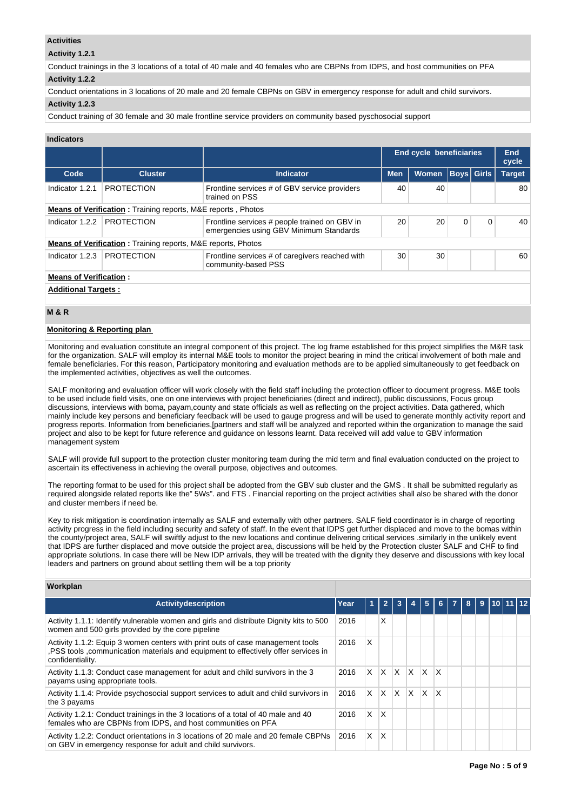### **Activities**

### **Activity 1.2.1**

Conduct trainings in the 3 locations of a total of 40 male and 40 females who are CBPNs from IDPS, and host communities on PFA **Activity 1.2.2** 

Conduct orientations in 3 locations of 20 male and 20 female CBPNs on GBV in emergency response for adult and child survivors.

### **Activity 1.2.3**

Conduct training of 30 female and 30 male frontline service providers on community based pyschosocial support

### **Indicators**

|                               |                                                                     |                                                                                          |            | <b>End cycle beneficiaries</b> |          | <b>End</b><br>cycle |               |  |  |  |  |
|-------------------------------|---------------------------------------------------------------------|------------------------------------------------------------------------------------------|------------|--------------------------------|----------|---------------------|---------------|--|--|--|--|
| Code                          | <b>Cluster</b>                                                      | Indicator                                                                                | <b>Men</b> | <b>Women</b>                   |          | <b>Boys</b> Girls   | <b>Target</b> |  |  |  |  |
| Indicator 1.2.1               | <b>PROTECTION</b>                                                   | Frontline services # of GBV service providers<br>trained on PSS                          | 40         | 40                             |          |                     | 80            |  |  |  |  |
|                               | <b>Means of Verification:</b> Training reports, M&E reports, Photos |                                                                                          |            |                                |          |                     |               |  |  |  |  |
| Indicator 1.2.2               | <b>PROTECTION</b>                                                   | Frontline services # people trained on GBV in<br>emergencies using GBV Minimum Standards | 20         | 20                             | $\Omega$ | $\Omega$            | 40            |  |  |  |  |
|                               | <b>Means of Verification:</b> Training reports, M&E reports, Photos |                                                                                          |            |                                |          |                     |               |  |  |  |  |
| Indicator 1.2.3               | <b>PROTECTION</b>                                                   | Frontline services # of caregivers reached with<br>community-based PSS                   | 30         | 30                             |          |                     | 60            |  |  |  |  |
| <b>Means of Verification:</b> |                                                                     |                                                                                          |            |                                |          |                     |               |  |  |  |  |
|                               | <b>Additional Targets:</b>                                          |                                                                                          |            |                                |          |                     |               |  |  |  |  |

### **M & R**

### **Monitoring & Reporting plan**

Monitoring and evaluation constitute an integral component of this project. The log frame established for this project simplifies the M&R task for the organization. SALF will employ its internal M&E tools to monitor the project bearing in mind the critical involvement of both male and female beneficiaries. For this reason, Participatory monitoring and evaluation methods are to be applied simultaneously to get feedback on the implemented activities, objectives as well the outcomes.

SALF monitoring and evaluation officer will work closely with the field staff including the protection officer to document progress. M&E tools to be used include field visits, one on one interviews with project beneficiaries (direct and indirect), public discussions, Focus group discussions, interviews with boma, payam,county and state officials as well as reflecting on the project activities. Data gathered, which mainly include key persons and beneficiary feedback will be used to gauge progress and will be used to generate monthly activity report and progress reports. Information from beneficiaries,[partners and staff will be analyzed and reported within the organization to manage the said project and also to be kept for future reference and guidance on lessons learnt. Data received will add value to GBV information management system

SALF will provide full support to the protection cluster monitoring team during the mid term and final evaluation conducted on the project to ascertain its effectiveness in achieving the overall purpose, objectives and outcomes.

The reporting format to be used for this project shall be adopted from the GBV sub cluster and the GMS . It shall be submitted regularly as required alongside related reports like the" 5Ws". and FTS . Financial reporting on the project activities shall also be shared with the donor and cluster members if need be.

Key to risk mitigation is coordination internally as SALF and externally with other partners. SALF field coordinator is in charge of reporting activity progress in the field including security and safety of staff. In the event that IDPS get further displaced and move to the bomas within the county/project area, SALF will swiftly adjust to the new locations and continue delivering critical services .similarly in the unlikely event that IDPS are further displaced and move outside the project area, discussions will be held by the Protection cluster SALF and CHF to find appropriate solutions. In case there will be New IDP arrivals, they will be treated with the dignity they deserve and discussions with key local leaders and partners on ground about settling them will be a top priority

### **Workplan**

| <b>Activitydescription</b>                                                                                                                                                               | Year |    | $\overline{\mathbf{2}}$ | 3   | 4            | 5            | 6 | 8 | 9 10 11 12 |  |
|------------------------------------------------------------------------------------------------------------------------------------------------------------------------------------------|------|----|-------------------------|-----|--------------|--------------|---|---|------------|--|
| Activity 1.1.1: Identify vulnerable women and girls and distribute Dignity kits to 500<br>women and 500 girls provided by the core pipeline                                              | 2016 |    | X                       |     |              |              |   |   |            |  |
| Activity 1.1.2: Equip 3 women centers with print outs of case management tools<br>,PSS tools ,communication materials and equipment to effectively offer services in<br>confidentiality. | 2016 | X  |                         |     |              |              |   |   |            |  |
| Activity 1.1.3: Conduct case management for adult and child survivors in the 3<br>payams using appropriate tools.                                                                        | 2016 | X. | X.                      | IX. | $\mathsf{X}$ | $\times$     | X |   |            |  |
| Activity 1.1.4: Provide psychosocial support services to adult and child survivors in<br>the 3 payams                                                                                    | 2016 | X. | X                       | X.  | X            | $\mathsf{x}$ | X |   |            |  |
| Activity 1.2.1: Conduct trainings in the 3 locations of a total of 40 male and 40<br>females who are CBPNs from IDPS, and host communities on PFA                                        | 2016 | X  | X                       |     |              |              |   |   |            |  |
| Activity 1.2.2: Conduct orientations in 3 locations of 20 male and 20 female CBPNs<br>on GBV in emergency response for adult and child survivors.                                        | 2016 | X  | X                       |     |              |              |   |   |            |  |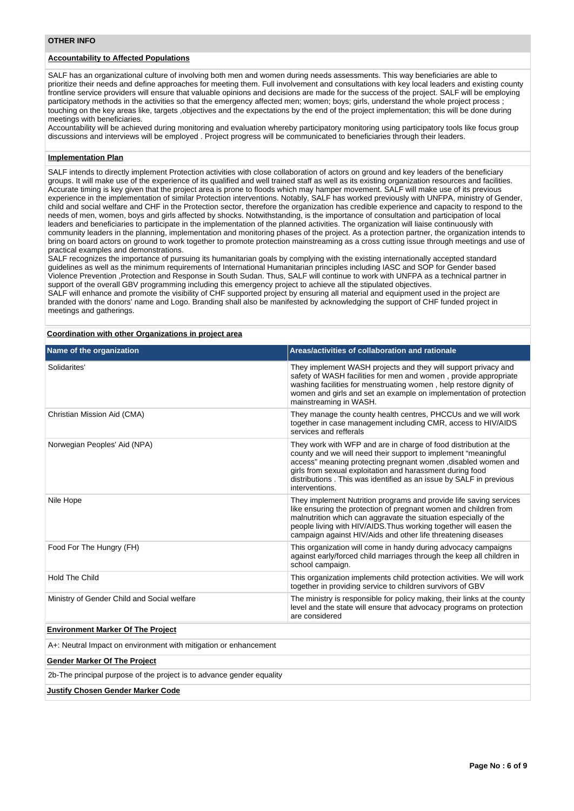### **Accountability to Affected Populations**

SALF has an organizational culture of involving both men and women during needs assessments. This way beneficiaries are able to prioritize their needs and define approaches for meeting them. Full involvement and consultations with key local leaders and existing county frontline service providers will ensure that valuable opinions and decisions are made for the success of the project. SALF will be employing participatory methods in the activities so that the emergency affected men; women; boys; girls, understand the whole project process touching on the key areas like, targets ,objectives and the expectations by the end of the project implementation; this will be done during meetings with beneficiaries.

Accountability will be achieved during monitoring and evaluation whereby participatory monitoring using participatory tools like focus group discussions and interviews will be employed . Project progress will be communicated to beneficiaries through their leaders.

### **Implementation Plan**

SALF intends to directly implement Protection activities with close collaboration of actors on ground and key leaders of the beneficiary groups. It will make use of the experience of its qualified and well trained staff as well as its existing organization resources and facilities. Accurate timing is key given that the project area is prone to floods which may hamper movement. SALF will make use of its previous experience in the implementation of similar Protection interventions. Notably, SALF has worked previously with UNFPA, ministry of Gender, child and social welfare and CHF in the Protection sector, therefore the organization has credible experience and capacity to respond to the needs of men, women, boys and girls affected by shocks. Notwithstanding, is the importance of consultation and participation of local leaders and beneficiaries to participate in the implementation of the planned activities. The organization will liaise continuously with community leaders in the planning, implementation and monitoring phases of the project. As a protection partner, the organization intends to bring on board actors on ground to work together to promote protection mainstreaming as a cross cutting issue through meetings and use of practical examples and demonstrations.

SALF recognizes the importance of pursuing its humanitarian goals by complying with the existing internationally accepted standard guidelines as well as the minimum requirements of International Humanitarian principles including IASC and SOP for Gender based Violence Prevention ,Protection and Response in South Sudan. Thus, SALF will continue to work with UNFPA as a technical partner in support of the overall GBV programming including this emergency project to achieve all the stipulated objectives. SALF will enhance and promote the visibility of CHF supported project by ensuring all material and equipment used in the project are

branded with the donors' name and Logo. Branding shall also be manifested by acknowledging the support of CHF funded project in meetings and gatherings.

### **Coordination with other Organizations in project area Name of the organization Areas/activities of collaboration and rationale** Solidarites' They implement WASH projects and they will support privacy and safety of WASH facilities for men and women, provide appropriate washing facilities for menstruating women , help restore dignity of women and girls and set an example on implementation of protection mainstreaming in WASH. Christian Mission Aid (CMA) They manage the county health centres, PHCCUs and we will work together in case management including CMR, access to HIV/AIDS services and refferals Norwegian Peoples' Aid (NPA) They work with WFP and are in charge of food distribution at the county and we will need their support to implement "meaningful access" meaning protecting pregnant women ,disabled women and girls from sexual exploitation and harassment during food distributions . This was identified as an issue by SALF in previous interventions. Nile Hope They implement Nutrition programs and provide life saving services like ensuring the protection of pregnant women and children from malnutrition which can aggravate the situation especially of the people living with HIV/AIDS.Thus working together will easen the campaign against HIV/Aids and other life threatening diseases Food For The Hungry (FH) This organization will come in handy during advocacy campaigns against early/forced child marriages through the keep all children in school campaign. Hold The Child This organization implements child protection activities. We will work together in providing service to children survivors of GBV Ministry of Gender Child and Social welfare The ministry is responsible for policy making, their links at the county level and the state will ensure that advocacy programs on protection are considered **Environment Marker Of The Project** A+: Neutral Impact on environment with mitigation or enhancement **Gender Marker Of The Project**

### 2b-The principal purpose of the project is to advance gender equality

#### **Justify Chosen Gender Marker Code**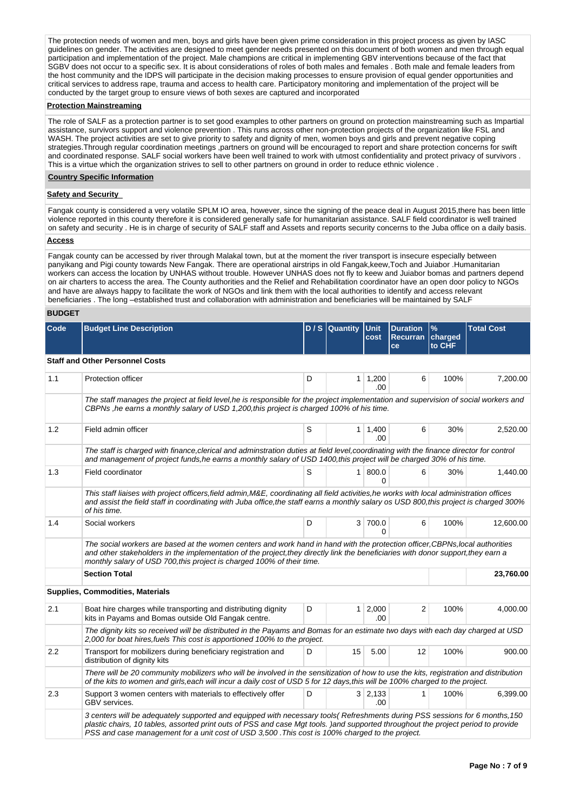The protection needs of women and men, boys and girls have been given prime consideration in this project process as given by IASC guidelines on gender. The activities are designed to meet gender needs presented on this document of both women and men through equal participation and implementation of the project. Male champions are critical in implementing GBV interventions because of the fact that SGBV does not occur to a specific sex. It is about considerations of roles of both males and females . Both male and female leaders from the host community and the IDPS will participate in the decision making processes to ensure provision of equal gender opportunities and critical services to address rape, trauma and access to health care. Participatory monitoring and implementation of the project will be conducted by the target group to ensure views of both sexes are captured and incorporated

#### **Protection Mainstreaming**

The role of SALF as a protection partner is to set good examples to other partners on ground on protection mainstreaming such as Impartial assistance, survivors support and violence prevention . This runs across other non-protection projects of the organization like FSL and WASH. The project activities are set to give priority to safety and dignity of men, women boys and girls and prevent negative coping strategies.Through regular coordination meetings ,partners on ground will be encouraged to report and share protection concerns for swift and coordinated response. SALF social workers have been well trained to work with utmost confidentiality and protect privacy of survivors . This is a virtue which the organization strives to sell to other partners on ground in order to reduce ethnic violence .

### **Country Specific Information**

### **Safety and Security**

Fangak county is considered a very volatile SPLM IO area, however, since the signing of the peace deal in August 2015, there has been little violence reported in this county therefore it is considered generally safe for humanitarian assistance. SALF field coordinator is well trained on safety and security . He is in charge of security of SALF staff and Assets and reports security concerns to the Juba office on a daily basis.

### **Access**

Fangak county can be accessed by river through Malakal town, but at the moment the river transport is insecure especially between panyikang and Pigi county towards New Fangak. There are operational airstrips in old Fangak,keew,Toch and Juiabor .Humanitarian workers can access the location by UNHAS without trouble. However UNHAS does not fly to keew and Juiabor bomas and partners depend on air charters to access the area. The County authorities and the Relief and Rehabilitation coordinator have an open door policy to NGOs and have are always happy to facilitate the work of NGOs and link them with the local authorities to identify and access relevant beneficiaries . The long –established trust and collaboration with administration and beneficiaries will be maintained by SALF

### **BUDGET**

| Code | <b>Budget Line Description</b>                                                                                                                                                                                                                                                                                                                                        |   | D / S Quantity | <b>IUnit</b><br>cost   | <b>Duration</b><br><b>Recurran</b><br>ce | $\%$<br>charged<br>to CHF | <b>Total Cost</b> |
|------|-----------------------------------------------------------------------------------------------------------------------------------------------------------------------------------------------------------------------------------------------------------------------------------------------------------------------------------------------------------------------|---|----------------|------------------------|------------------------------------------|---------------------------|-------------------|
|      | <b>Staff and Other Personnel Costs</b>                                                                                                                                                                                                                                                                                                                                |   |                |                        |                                          |                           |                   |
| 1.1  | Protection officer                                                                                                                                                                                                                                                                                                                                                    | D |                | $1 \mid 1,200$<br>.00  | 6                                        | 100%                      | 7,200.00          |
|      | The staff manages the project at field level, he is responsible for the project implementation and supervision of social workers and<br>CBPNs, he earns a monthly salary of USD 1,200, this project is charged 100% of his time.                                                                                                                                      |   |                |                        |                                          |                           |                   |
| 1.2  | Field admin officer                                                                                                                                                                                                                                                                                                                                                   | S |                | $1 \mid 1,400$<br>.00  | 6                                        | 30%                       | 2,520.00          |
|      | The staff is charged with finance, clerical and adminstration duties at field level, coordinating with the finance director for control<br>and management of project funds, he earns a monthly salary of USD 1400, this project will be charged 30% of his time.                                                                                                      |   |                |                        |                                          |                           |                   |
| 1.3  | Field coordinator                                                                                                                                                                                                                                                                                                                                                     | S |                | 1   800.0<br>0         | 6                                        | 30%                       | 1,440.00          |
|      | This staff liaises with project officers, field admin, M&E, coordinating all field activities, he works with local administration offices<br>and assist the field staff in coordinating with Juba office, the staff earns a monthly salary os USD 800, this project is charged 300%<br>of his time.                                                                   |   |                |                        |                                          |                           |                   |
| 1.4  | Social workers                                                                                                                                                                                                                                                                                                                                                        | D |                | 3 700.0<br>$\Omega$    | 6                                        | 100%                      | 12,600.00         |
|      | The social workers are based at the women centers and work hand in hand with the protection officer, CBPNs, local authorities<br>and other stakeholders in the implementation of the project, they directly link the beneficiaries with donor support, they earn a<br>monthly salary of USD 700, this project is charged 100% of their time.                          |   |                |                        |                                          |                           |                   |
|      | <b>Section Total</b>                                                                                                                                                                                                                                                                                                                                                  |   |                |                        |                                          |                           | 23,760.00         |
|      | <b>Supplies, Commodities, Materials</b>                                                                                                                                                                                                                                                                                                                               |   |                |                        |                                          |                           |                   |
| 2.1  | Boat hire charges while transporting and distributing dignity<br>kits in Payams and Bomas outside Old Fangak centre.                                                                                                                                                                                                                                                  | D |                | $1 \mid 2,000$<br>.00. | $\overline{2}$                           | 100%                      | 4,000.00          |
|      | The dignity kits so received will be distributed in the Payams and Bomas for an estimate two days with each day charged at USD<br>2,000 for boat hires, fuels This cost is apportioned 100% to the project.                                                                                                                                                           |   |                |                        |                                          |                           |                   |
| 2.2  | Transport for mobilizers during beneficiary registration and<br>distribution of dignity kits                                                                                                                                                                                                                                                                          | D | 15             | 5.00                   | 12                                       | 100%                      | 900.00            |
|      | There will be 20 community mobilizers who will be involved in the sensitization of how to use the kits, registration and distribution<br>of the kits to women and girls, each will incur a daily cost of USD 5 for 12 days, this will be 100% charged to the project.                                                                                                 |   |                |                        |                                          |                           |                   |
| 2.3  | Support 3 women centers with materials to effectively offer<br><b>GBV</b> services.                                                                                                                                                                                                                                                                                   | D |                | $3 \mid 2,133$<br>.00  | 1                                        | 100%                      | 6,399.00          |
|      | 3 centers will be adequately supported and equipped with necessary tools( Refreshments during PSS sessions for 6 months, 150<br>plastic chairs, 10 tables, assorted print outs of PSS and case Mgt tools. )and supported throughout the project period to provide<br>PSS and case management for a unit cost of USD 3,500 . This cost is 100% charged to the project. |   |                |                        |                                          |                           |                   |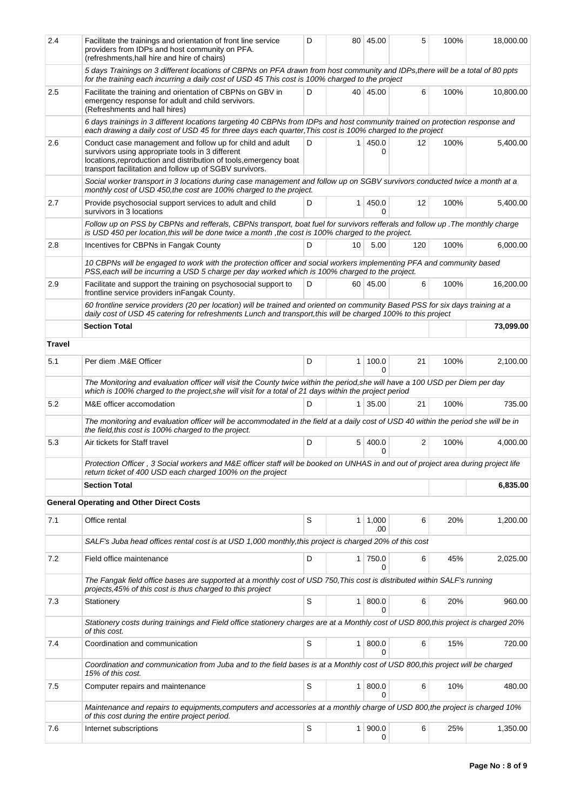| 2.4           | Facilitate the trainings and orientation of front line service<br>providers from IDPs and host community on PFA.<br>(refreshments, hall hire and hire of chairs)                                                                                 | D |                | 80 45.00              | 5   | 100% | 18,000.00 |
|---------------|--------------------------------------------------------------------------------------------------------------------------------------------------------------------------------------------------------------------------------------------------|---|----------------|-----------------------|-----|------|-----------|
|               | 5 days Trainings on 3 different locations of CBPNs on PFA drawn from host community and IDPs, there will be a total of 80 ppts<br>for the training each incurring a daily cost of USD 45 This cost is 100% charged to the project                |   |                |                       |     |      |           |
| 2.5           | Facilitate the training and orientation of CBPNs on GBV in<br>emergency response for adult and child servivors.<br>(Refreshments and hall hires)                                                                                                 | D |                | 40 45.00              | 6   | 100% | 10,800.00 |
|               | 6 days trainings in 3 different locations targeting 40 CBPNs from IDPs and host community trained on protection response and<br>each drawing a daily cost of USD 45 for three days each quarter, This cost is 100% charged to the project        |   |                |                       |     |      |           |
| 2.6           | Conduct case management and follow up for child and adult<br>survivors using appropriate tools in 3 different<br>locations, reproduction and distribution of tools, emergency boat<br>transport facilitation and follow up of SGBV survivors.    | D | 1              | 450.0<br>0            | 12  | 100% | 5,400.00  |
|               | Social worker transport in 3 locations during case management and follow up on SGBV survivors conducted twice a month at a<br>monthly cost of USD 450, the cost are 100% charged to the project.                                                 |   |                |                       |     |      |           |
| 2.7           | Provide psychosocial support services to adult and child<br>survivors in 3 locations                                                                                                                                                             | D | 1 <sup>1</sup> | 450.0<br>0            | 12  | 100% | 5,400.00  |
|               | Follow up on PSS by CBPNs and refferals, CBPNs transport, boat fuel for survivors refferals and follow up . The monthly charge<br>is USD 450 per location, this will be done twice a month, the cost is 100% charged to the project.             |   |                |                       |     |      |           |
| 2.8           | Incentives for CBPNs in Fangak County                                                                                                                                                                                                            | D | 10             | 5.00                  | 120 | 100% | 6.000.00  |
|               | 10 CBPNs will be engaged to work with the protection officer and social workers implementing PFA and community based<br>PSS, each will be incurring a USD 5 charge per day worked which is 100% charged to the project.                          |   |                |                       |     |      |           |
| 2.9           | Facilitate and support the training on psychosocial support to<br>frontline service providers inFangak County.                                                                                                                                   | D |                | 60 45.00              | 6   | 100% | 16,200.00 |
|               | 60 frontline service providers (20 per location) will be trained and oriented on community Based PSS for six days training at a<br>daily cost of USD 45 catering for refreshments Lunch and transport, this will be charged 100% to this project |   |                |                       |     |      |           |
|               | <b>Section Total</b>                                                                                                                                                                                                                             |   |                |                       |     |      | 73,099.00 |
| <b>Travel</b> |                                                                                                                                                                                                                                                  |   |                |                       |     |      |           |
| 5.1           | Per diem .M&E Officer                                                                                                                                                                                                                            | D |                | 1   100.0<br>0        | 21  | 100% | 2,100.00  |
|               | The Monitoring and evaluation officer will visit the County twice within the period, she will have a 100 USD per Diem per day<br>which is 100% charged to the project, she will visit for a total of 21 days within the project period           |   |                |                       |     |      |           |
| 5.2           | M&E officer accomodation                                                                                                                                                                                                                         | D |                | 1 35.00               | 21  | 100% | 735.00    |
|               | The monitoring and evaluation officer will be accommodated in the field at a daily cost of USD 40 within the period she will be in<br>the field, this cost is 100% charged to the project.                                                       |   |                |                       |     |      |           |
| 5.3           | Air tickets for Staff travel                                                                                                                                                                                                                     | D |                | 5 400.0               | 2   | 100% | 4,000.00  |
|               | Protection Officer, 3 Social workers and M&E officer staff will be booked on UNHAS in and out of project area during project life<br>return ticket of 400 USD each charged 100% on the project                                                   |   |                |                       |     |      |           |
|               | <b>Section Total</b>                                                                                                                                                                                                                             |   |                |                       |     |      | 6,835.00  |
|               | <b>General Operating and Other Direct Costs</b>                                                                                                                                                                                                  |   |                |                       |     |      |           |
| 7.1           | Office rental                                                                                                                                                                                                                                    | S |                | $1 \mid 1,000$<br>.00 | 6   | 20%  | 1,200.00  |
|               | SALF's Juba head offices rental cost is at USD 1,000 monthly, this project is charged 20% of this cost                                                                                                                                           |   |                |                       |     |      |           |
| 7.2           | Field office maintenance                                                                                                                                                                                                                         | D |                | 1 750.0<br>0          | 6   | 45%  | 2,025.00  |
|               | The Fangak field office bases are supported at a monthly cost of USD 750, This cost is distributed within SALF's running<br>projects, 45% of this cost is thus charged to this project                                                           |   |                |                       |     |      |           |
| 7.3           | Stationery                                                                                                                                                                                                                                       | S |                | 1   800.0             | 6   | 20%  | 960.00    |
|               | Stationery costs during trainings and Field office stationery charges are at a Monthly cost of USD 800, this project is charged 20%<br>of this cost.                                                                                             |   |                |                       |     |      |           |
| 7.4           | Coordination and communication                                                                                                                                                                                                                   | S | $\mathbf{1}$   | 800.0<br>0            | 6   | 15%  | 720.00    |
|               | Coordination and communication from Juba and to the field bases is at a Monthly cost of USD 800, this project will be charged<br>15% of this cost.                                                                                               |   |                |                       |     |      |           |
| $7.5\,$       | Computer repairs and maintenance                                                                                                                                                                                                                 | S | 1              | 800.0<br>0            | 6   | 10%  | 480.00    |
|               | Maintenance and repairs to equipments,computers and accessories at a monthly charge of USD 800,the project is charged 10%<br>of this cost during the entire project period.                                                                      |   |                |                       |     |      |           |
| 7.6           | Internet subscriptions                                                                                                                                                                                                                           | S | 1 <sup>1</sup> | 900.0<br>0            | 6   | 25%  | 1,350.00  |